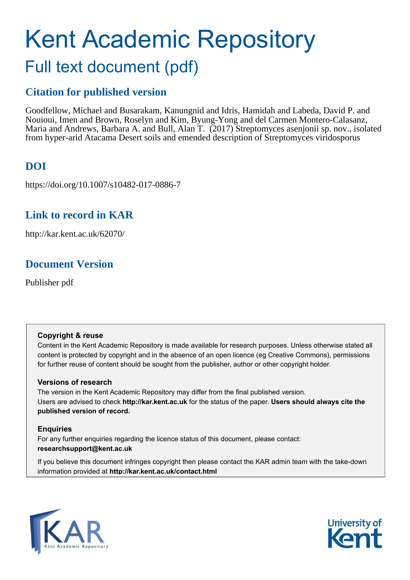# Kent Academic Repository Full text document (pdf)

# **Citation for published version**

Goodfellow, Michael and Busarakam, Kanungnid and Idris, Hamidah and Labeda, David P. and Nouioui, Imen and Brown, Roselyn and Kim, Byung-Yong and del Carmen Montero-Calasanz, Maria and Andrews, Barbara A. and Bull, Alan T. (2017) Streptomyces asenjonii sp. nov., isolated from hyper-arid Atacama Desert soils and emended description of Streptomyces viridosporus

# **DOI**

https://doi.org/10.1007/s10482-017-0886-7

## **Link to record in KAR**

http://kar.kent.ac.uk/62070/

## **Document Version**

Publisher pdf

## **Copyright & reuse**

Content in the Kent Academic Repository is made available for research purposes. Unless otherwise stated all content is protected by copyright and in the absence of an open licence (eg Creative Commons), permissions for further reuse of content should be sought from the publisher, author or other copyright holder.

## **Versions of research**

The version in the Kent Academic Repository may differ from the final published version. Users are advised to check **http://kar.kent.ac.uk** for the status of the paper. **Users should always cite the published version of record.**

## **Enquiries**

For any further enquiries regarding the licence status of this document, please contact: **researchsupport@kent.ac.uk**

If you believe this document infringes copyright then please contact the KAR admin team with the take-down information provided at **http://kar.kent.ac.uk/contact.html**



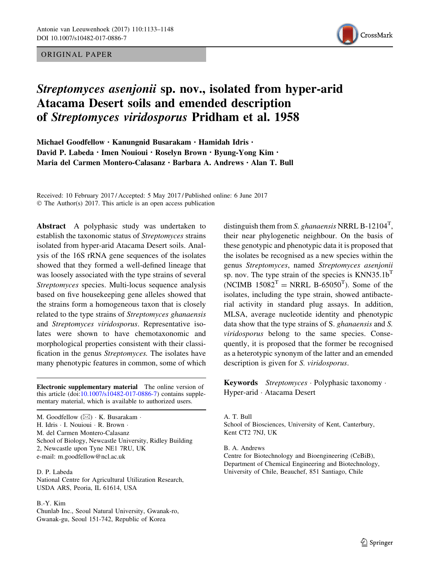#### ORIGINAL PAPER



## Streptomyces asenjonii sp. nov., isolated from hyper-arid Atacama Desert soils and emended description of Streptomyces viridosporus Pridham et al. 1958

Michael Goodfellow · Kanungnid Busarakam · Hamidah Idris · David P. Labeda · Imen Nouioui · Roselyn Brown · Byung-Yong Kim · Maria del Carmen Montero-Calasanz . Barbara A. Andrews . Alan T. Bull

Received: 10 February 2017 / Accepted: 5 May 2017 / Published online: 6 June 2017  $©$  The Author(s) 2017. This article is an open access publication

Abstract A polyphasic study was undertaken to establish the taxonomic status of *Streptomyces* strains isolated from hyper-arid Atacama Desert soils. Analysis of the 16S rRNA gene sequences of the isolates showed that they formed a well-defined lineage that was loosely associated with the type strains of several *Streptomyces* species. Multi-locus sequence analysis based on five housekeeping gene alleles showed that the strains form a homogeneous taxon that is closely related to the type strains of *Streptomyces ghanaensis* and *Streptomyces viridosporus*. Representative isolates were shown to have chemotaxonomic and morphological properties consistent with their classification in the genus *Streptomyces.* The isolates have many phenotypic features in common, some of which

Electronic supplementary material The online version of this article (doi[:10.1007/s10482-017-0886-7\)](http://dx.doi.org/10.1007/s10482-017-0886-7) contains supplementary material, which is available to authorized users.

M. Goodfellow ( $\boxtimes$ ) · K. Busarakam · H. Idris · I. Nouioui · R. Brown · M. del Carmen Montero-Calasanz School of Biology, Newcastle University, Ridley Building 2, Newcastle upon Tyne NE1 7RU, UK e-mail: m.goodfellow@ncl.ac.uk

#### D. P. Labeda

National Centre for Agricultural Utilization Research, USDA ARS, Peoria, IL 61614, USA

#### B.-Y. Kim

Chunlab Inc., Seoul Natural University, Gwanak-ro, Gwanak-gu, Seoul 151-742, Republic of Korea

distinguish them from *S. ghanaensis* NRRL B-12104<sup>T</sup> , their near phylogenetic neighbour. On the basis of these genotypic and phenotypic data it is proposed that the isolates be recognised as a new species within the genus *Streptomyces*, named *Streptomyces asenjonii* sp. nov. The type strain of the species is  $KNN35.1b<sup>T</sup>$ (NCIMB  $15082^T$  = NRRL B-65050<sup>T</sup>). Some of the isolates, including the type strain, showed antibacterial activity in standard plug assays. In addition, MLSA, average nucleotide identity and phenotypic data show that the type strains of S. *ghanaensis* and *S. viridosporus* belong to the same species. Consequently, it is proposed that the former be recognised as a heterotypic synonym of the latter and an emended description is given for *S. viridosporus*.

Keywords *Streptomyces* - Polyphasic taxonomy - Hyper-arid - Atacama Desert

A. T. Bull School of Biosciences, University of Kent, Canterbury, Kent CT2 7NJ, UK

B. A. Andrews

Centre for Biotechnology and Bioengineering (CeBiB), Department of Chemical Engineering and Biotechnology, University of Chile, Beauchef, 851 Santiago, Chile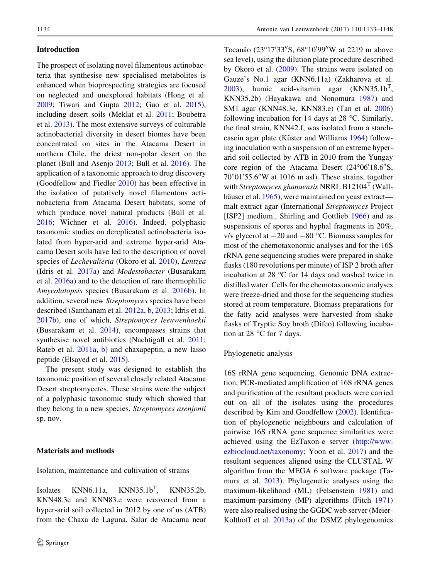#### Introduction

The prospect of isolating novel filamentous actinobacteria that synthesise new specialised metabolites is enhanced when bioprospecting strategies are focused on neglected and unexplored habitats (Hong et al. [2009;](#page-13-0) Tiwari and Gupta [2012](#page-15-0); Guo et al. [2015](#page-13-0)), including desert soils (Meklat et al. [2011;](#page-14-0) Boubetra et al. [2013](#page-13-0)). The most extensive surveys of culturable actinobacterial diversity in desert biomes have been concentrated on sites in the Atacama Desert in northern Chile, the driest non-polar desert on the planet (Bull and Asenjo [2013;](#page-13-0) Bull et al. [2016\)](#page-13-0). The application of a taxonomic approach to drug discovery (Goodfellow and Fiedler [2010\)](#page-13-0) has been effective in the isolation of putatively novel filamentous actinobacteria from Atacama Desert habitats, some of which produce novel natural products (Bull et al. [2016;](#page-13-0) Wichner et al. [2016](#page-15-0)). Indeed, polyphasic taxonomic studies on dereplicated actinobacteria isolated from hyper-arid and extreme hyper-arid Atacama Desert soils have led to the description of novel species of *Lechevalieria* (Okoro et al. [2010](#page-14-0)), *Lentzea* (Idris et al. [2017a\)](#page-13-0) and *Modestobacter* (Busarakam et al. [2016a\)](#page-13-0) and to the detection of rare thermophilic *Amycolatopsis* species (Busarakam et al. [2016b](#page-13-0)). In addition, several new *Streptomyces* species have been described (Santhanam et al. [2012a](#page-15-0), [b,](#page-15-0) [2013](#page-15-0); Idris et al. [2017b\)](#page-13-0), one of which, *Streptomyces leeuwenhoekii* (Busarakam et al. [2014\)](#page-13-0), encompasses strains that synthesise novel antibiotics (Nachtigall et al. [2011](#page-14-0); Rateb et al. [2011a,](#page-14-0) [b\)](#page-14-0) and chaxapeptin, a new lasso peptide (Elsayed et al. [2015\)](#page-13-0).

The present study was designed to establish the taxonomic position of several closely related Atacama Desert streptomycetes. These strains were the subject of a polyphasic taxonomic study which showed that they belong to a new species, *Streptomyces asenjonii* sp. nov.

#### Materials and methods

Isolation, maintenance and cultivation of strains

Isolates KNN6.11a,  $KNN35.1b^{T}$ , KNN35.2b, KNN48.3e and KNN83.e were recovered from a hyper-arid soil collected in 2012 by one of us (ATB) from the Chaxa de Laguna, Salar de Atacama near

Tocanão (23°17'33"S, 68°10'99"W at 2219 m above sea level), using the dilution plate procedure described by Okoro et al. ([2009\)](#page-14-0). The strains were isolated on Gauze's No.1 agar (KNN6.11a) (Zakharova et al.  $2003$ ), humic acid-vitamin agar (KNN35.1b<sup>T</sup>, KNN35.2b) (Hayakawa and Nonomura [1987](#page-13-0)) and SM1 agar (KNN48.3e, KNN83.e) (Tan et al. [2006\)](#page-15-0) following incubation for 14 days at 28  $^{\circ}$ C. Similarly, the final strain, KNN42.f, was isolated from a starch-casein agar plate (Küster and Williams [1964\)](#page-14-0) following inoculation with a suspension of an extreme hyperarid soil collected by ATB in 2010 from the Yungay core region of the Atacama Desert  $(24^{\circ}06'18.6''S,$  $70^{\circ}01'55.6''$ W at 1016 m asl). These strains, together with *Streptomyces ghanaensis* NRRL B12104<sup>T</sup> (Wall-häuser et al. [1965](#page-15-0)), were maintained on yeast extract malt extract agar (International *Streptomyces* Project [ISP2] medium., Shirling and Gottlieb [1966\)](#page-15-0) and as suspensions of spores and hyphal fragments in 20%, v/v glycerol at  $-20$  and  $-80$  °C. Biomass samples for most of the chemotaxonomic analyses and for the 16S rRNA gene sequencing studies were prepared in shake flasks (180 revolutions per minute) of ISP 2 broth after incubation at 28  $\degree$ C for 14 days and washed twice in distilled water. Cells for the chemotaxonomic analyses were freeze-dried and those for the sequencing studies stored at room temperature. Biomass preparations for the fatty acid analyses were harvested from shake flasks of Tryptic Soy broth (Difco) following incubation at 28  $\degree$ C for 7 days.

#### Phylogenetic analysis

16S rRNA gene sequencing. Genomic DNA extraction, PCR-mediated amplification of 16S rRNA genes and purification of the resultant products were carried out on all of the isolates using the procedures described by Kim and Goodfellow ([2002](#page-13-0)). Identification of phylogenetic neighbours and calculation of pairwise 16S rRNA gene sequence similarities were achieved using the EzTaxon-e server [\(http://www.](http://www.ezbiocloud.net/taxonomy) [ezbiocloud.net/taxonomy](http://www.ezbiocloud.net/taxonomy); Yoon et al. [2017](#page-15-0)) and the resultant sequences aligned using the CLUSTAL W algorithm from the MEGA 6 software package (Tamura et al. [2013](#page-15-0)). Phylogenetic analyses using the maximum-likelihood (ML) (Felsenstein [1981\)](#page-13-0) and maximum-parsimony (MP) algorithms (Fitch [1971\)](#page-13-0) were also realised using the GGDC web server (Meier-Kolthoff et al. [2013a](#page-14-0)) of the DSMZ phylogenomics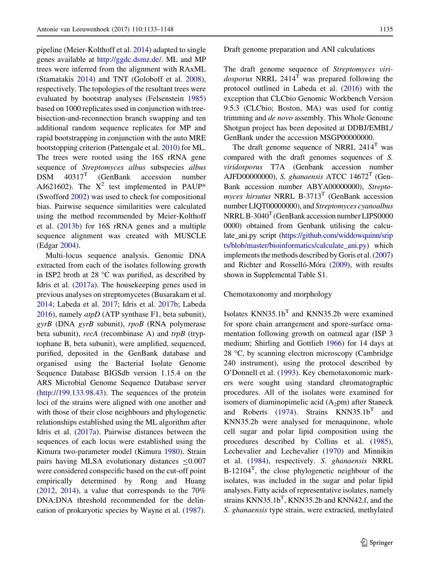pipeline (Meier-Kolthoff et al. [2014\)](#page-14-0) adapted to single genes available at <http://ggdc.dsmz.de/>. ML and MP trees were inferred from the alignment with RAxML (Stamatakis [2014](#page-15-0)) and TNT (Goloboff et al. [2008](#page-13-0)), respectively. The topologies of the resultant trees were evaluated by bootstrap analyses (Felsenstein [1985\)](#page-13-0) based on 1000 replicates used in conjunction with treebisection-and-reconnection branch swapping and ten additional random sequence replicates for MP and rapid bootstrapping in conjunction with the auto MRE bootstopping criterion (Pattengale et al. [2010\)](#page-14-0) for ML. The trees were rooted using the 16S rRNA gene sequence of *Streptomyces albus* subspecies *albus*  $DSM$  40317<sup>T</sup> (GenBank accession number AJ621602). The  $X^2$  test implemented in PAUP\* (Swofford [2002](#page-15-0)) was used to check for compositional bias. Pairwise sequence similarities were calculated using the method recommended by Meier-Kolthoff et al. [\(2013b](#page-14-0)) for 16S rRNA genes and a multiple sequence alignment was created with MUSCLE (Edgar [2004\)](#page-13-0).

Multi-locus sequence analysis. Genomic DNA extracted from each of the isolates following growth in ISP2 broth at 28  $\degree$ C was purified, as described by Idris et al. ([2017a](#page-13-0)). The housekeeping genes used in previous analyses on streptomycetes (Busarakam et al. [2014;](#page-13-0) Labeda et al. [2017;](#page-14-0) Idris et al. [2017b](#page-13-0); Labeda [2016\)](#page-14-0), namely *atpD* (ATP synthase F1, beta subunit), *gyrB* (DNA *gyrB* subunit), *rpoB* (RNA polymerase beta subunit), *recA* (recombinase A) and *trpB* (tryptophane B, beta subunit), were amplified, sequenced, purified, deposited in the GenBank database and organised using the Bacterial Isolate Genome Sequence Database BIGSdb version 1.15.4 on the ARS Microbial Genome Sequence Database server [\(http://199.133.98.43\)](http://199.133.98.43). The sequences of the protein loci of the strains were aligned with one another and with those of their close neighbours and phylogenetic relationships established using the ML algorithm after Idris et al. [\(2017a\)](#page-13-0). Pairwise distances between the sequences of each locus were established using the Kimura two-parameter model (Kimura [1980\)](#page-14-0). Strain pairs having MLSA evolutionary distances  $\leq 0.007$ were considered conspecific based on the cut-off point empirically determined by Rong and Huang  $(2012, 2014)$  $(2012, 2014)$  $(2012, 2014)$  $(2012, 2014)$ , a value that corresponds to the  $70\%$ DNA:DNA threshold recommended for the delineation of prokaryotic species by Wayne et al. ([1987\)](#page-15-0).

Draft genome preparation and ANI calculations

The draft genome sequence of *Streptomyces viridosporus* NRRL 2414<sup>T</sup> was prepared following the protocol outlined in Labeda et al. [\(2016](#page-14-0)) with the exception that CLCbio Genomic Workbench Version 9.5.3 (CLCbio; Boston, MA) was used for contig trimming and *de novo* assembly. This Whole Genome Shotgun project has been deposited at DDBJ/EMBL/ GenBank under the accession MSGP00000000.

The draft genome sequence of NRRL  $2414<sup>T</sup>$  was compared with the draft genomes sequences of *S. viridosporus* T7A (Genbank accession number AJFD00000000), *S. ghanaensis* ATCC 14672<sup>T</sup> (Gen-Bank accession number ABYA00000000), *Streptomyces hirsutus* NRRL B-3713<sup>T</sup> (GenBank accession number LIQT00000000), and *Streptomyces cyanoalbus*  $NRRLB - 3040<sup>T</sup>$  (GenBank accession number LIPS0000 0000) obtained from Genbank utilising the calculate\_ani.py script [\(https://github.com/widdowquinn/srip](https://github.com/widdowquinn/sripts/blob/master/bioinformatics/calculate_ani.py) [ts/blob/master/bioinformatics/calculate\\_ani.py\)](https://github.com/widdowquinn/sripts/blob/master/bioinformatics/calculate_ani.py) which implements the methods described by Goris et al. [\(2007\)](#page-13-0) and Richter and Rosselló-Móra ([2009](#page-14-0)), with results shown in Supplemental Table S1.

Chemotaxonomy and morphology

Isolates  $KNN35.1b<sup>T</sup>$  and  $KNN35.2b$  were examined for spore chain arrangement and spore-surface ornamentation following growth on oatmeal agar (ISP 3 medium; Shirling and Gottlieb [1966](#page-15-0)) for 14 days at  $28 \text{ °C}$ , by scanning electron microscopy (Cambridge) 240 instrument), using the protocol described by O'Donnell et al. [\(1993](#page-14-0)). Key chemotaxonomic markers were sought using standard chromatographic procedures. All of the isolates were examined for isomers of diaminopimelic acid  $(A_2pm)$  after Staneck and Roberts ([1974\)](#page-15-0). Strains  $KNN35.1b<sup>T</sup>$  and KNN35.2b were analysed for menaquinone, whole cell sugar and polar lipid composition using the procedures described by Collins et al. ([1985](#page-13-0)), Lechevalier and Lechevalier [\(1970](#page-14-0)) and Minnikin et al. [\(1984](#page-14-0)), respectively. *S. ghanaensis* NRRL  $B-12104<sup>T</sup>$ , the close phylogenetic neighbour of the isolates, was included in the sugar and polar lipid analyses. Fatty acids of representative isolates, namely strains  $KNN35.1b<sup>T</sup>$ ,  $KNN35.2b$  and  $KNN42.f$ , and the *S. ghanaensis* type strain, were extracted, methylated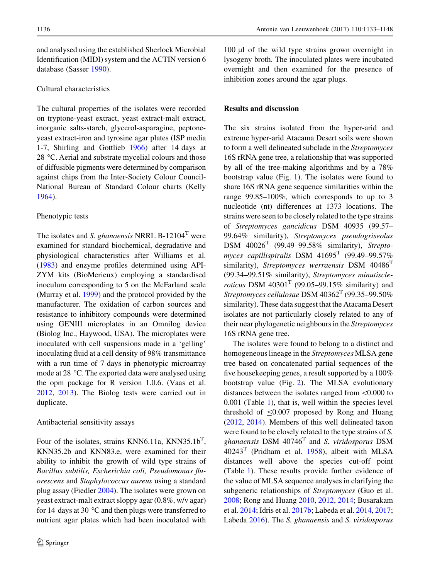<span id="page-4-0"></span>and analysed using the established Sherlock Microbial Identification (MIDI) system and the ACTIN version 6 database (Sasser [1990\)](#page-15-0).

#### Cultural characteristics

The cultural properties of the isolates were recorded on tryptone-yeast extract, yeast extract-malt extract, inorganic salts-starch, glycerol-asparagine, peptoneyeast extract-iron and tyrosine agar plates (ISP media 1-7, Shirling and Gottlieb [1966\)](#page-15-0) after 14 days at 28 °C. Aerial and substrate mycelial colours and those of diffusible pigments were determined by comparison against chips from the Inter-Society Colour Council-National Bureau of Standard Colour charts (Kelly [1964\)](#page-13-0).

#### Phenotypic tests

The isolates and *S. ghanaensis* NRRL B-12104<sup>T</sup> were examined for standard biochemical, degradative and physiological characteristics after Williams et al. [\(1983](#page-15-0)) and enzyme profiles determined using API-ZYM kits (BioMerieux) employing a standardised inoculum corresponding to 5 on the McFarland scale (Murray et al. [1999](#page-14-0)) and the protocol provided by the manufacturer. The oxidation of carbon sources and resistance to inhibitory compounds were determined using GENIII microplates in an Omnilog device (Biolog Inc., Haywood, USA). The microplates were inoculated with cell suspensions made in a 'gelling' inoculating fluid at a cell density of 98% transmittance with a run time of 7 days in phenotypic microarray mode at 28  $\degree$ C. The exported data were analysed using the opm package for R version 1.0.6. (Vaas et al. [2012,](#page-15-0) [2013](#page-15-0)). The Biolog tests were carried out in duplicate.

#### Antibacterial sensitivity assays

Four of the isolates, strains KNN6.11a, KNN35.1b<sup>T</sup>, KNN35.2b and KNN83.e, were examined for their ability to inhibit the growth of wild type strains of *Bacillus subtilis, Escherichia coli, Pseudomonas fluorescens* and *Staphylococcus aureus* using a standard plug assay (Fiedler [2004\)](#page-13-0). The isolates were grown on yeast extract-malt extract sloppy agar (0.8%, w/v agar) for 14 days at 30  $\degree$ C and then plugs were transferred to nutrient agar plates which had been inoculated with

 $100 \mu l$  of the wild type strains grown overnight in lysogeny broth. The inoculated plates were incubated overnight and then examined for the presence of inhibition zones around the agar plugs.

#### Results and discussion

The six strains isolated from the hyper-arid and extreme hyper-arid Atacama Desert soils were shown to form a well delineated subclade in the *Streptomyces* 16S rRNA gene tree, a relationship that was supported by all of the tree-making algorithms and by a 78% bootstrap value (Fig. 1). The isolates were found to share 16S rRNA gene sequence similarities within the range 99.85–100%, which corresponds to up to 3 nucleotide (nt) differences at 1373 locations. The strains were seen to be closely related to the type strains of *Streptomyces gancidicus* DSM 40935 (99.57– 99.64% similarity), *Streptomyces pseudogriseolus* DSM 40026<sup>T</sup> (99.49–99.58% similarity), *Streptomyces capillispiralis* DSM 41695<sup>T</sup> (99.49–99.57% similarity), *Streptomyces werraensis* DSM 40486<sup>T</sup> (99.34–99.51% similarity), *Streptomyces minutiscleroticus* DSM  $40301<sup>T</sup>$  (99.05–99.15% similarity) and *Streptomyces cellulosae* DSM 40362<sup>T</sup> (99.35–99.50% similarity). These data suggest that the Atacama Desert isolates are not particularly closely related to any of their near phylogenetic neighbours in the *Streptomyces* 16S rRNA gene tree.

The isolates were found to belong to a distinct and homogeneous lineage in the *Streptomyces* MLSA gene tree based on concatenated partial sequences of the five housekeeping genes, a result supported by a 100% bootstrap value (Fig. [2\)](#page-5-0). The MLSA evolutionary distances between the isolates ranged from\0.000 to 0.001 (Table [1\)](#page-6-0), that is, well within the species level threshold of  $\leq 0.007$  proposed by Rong and Huang [\(2012](#page-14-0), [2014\)](#page-15-0). Members of this well delineated taxon were found to be closely related to the type strains of *S. ghanaensis* DSM 40746<sup>T</sup> and *S. viridosporus* DSM  $40243<sup>T</sup>$  (Pridham et al. [1958](#page-14-0)), albeit with MLSA distances well above the species cut-off point (Table [1](#page-6-0)). These results provide further evidence of the value of MLSA sequence analyses in clarifying the subgeneric relationships of *Streptomyces* (Guo et al. [2008;](#page-13-0) Rong and Huang [2010](#page-14-0), [2012](#page-14-0), [2014](#page-15-0); Busarakam et al. [2014;](#page-13-0) Idris et al. [2017b](#page-13-0); Labeda et al. [2014](#page-14-0), [2017;](#page-14-0) Labeda [2016](#page-14-0)). The *S. ghanaensis* and *S. viridosporus*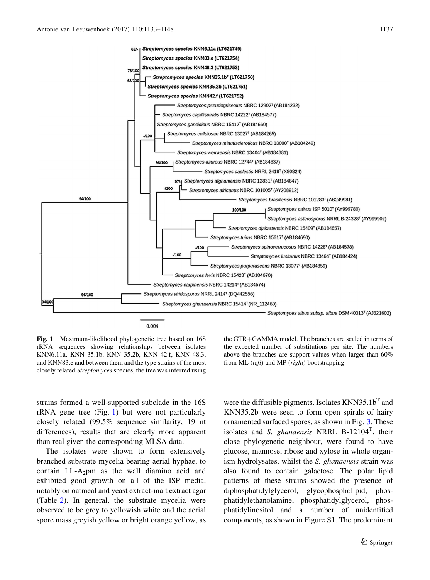<span id="page-5-0"></span>

Fig. 1 Maximum-likelihood phylogenetic tree based on 16S rRNA sequences showing relationships between isolates KNN6.11a, KNN 35.1b, KNN 35.2b, KNN 42.f, KNN 48.3, and KNN83.e and between them and the type strains of the most closely related *Streptomyces* species, the tree was inferred using

strains formed a well-supported subclade in the 16S rRNA gene tree (Fig. [1\)](#page-4-0) but were not particularly closely related (99.5% sequence similarity, 19 nt differences), results that are clearly more apparent than real given the corresponding MLSA data.

The isolates were shown to form extensively branched substrate mycelia bearing aerial hyphae, to contain  $LL-A_2$ pm as the wall diamino acid and exhibited good growth on all of the ISP media, notably on oatmeal and yeast extract-malt extract agar (Table [2](#page-9-0)). In general, the substrate mycelia were observed to be grey to yellowish white and the aerial spore mass greyish yellow or bright orange yellow, as

the  $GTR + GAMMA$  model. The branches are scaled in terms of the expected number of substitutions per site. The numbers above the branches are support values when larger than 60% from ML (*left*) and MP (*right*) bootstrapping

were the diffusible pigments. Isolates  $KNN35.1b<sup>T</sup>$  and KNN35.2b were seen to form open spirals of hairy ornamented surfaced spores, as shown in Fig. [3.](#page-9-0) These isolates and *S. ghanaensis* NRRL B-12104<sup>T</sup>, their close phylogenetic neighbour, were found to have glucose, mannose, ribose and xylose in whole organism hydrolysates, whilst the *S. ghanaensis* strain was also found to contain galactose. The polar lipid patterns of these strains showed the presence of diphosphatidylglycerol, glycophospholipid, phosphatidylethanolamine, phosphatidylglycerol, phosphatidylinositol and a number of unidentified components, as shown in Figure S1. The predominant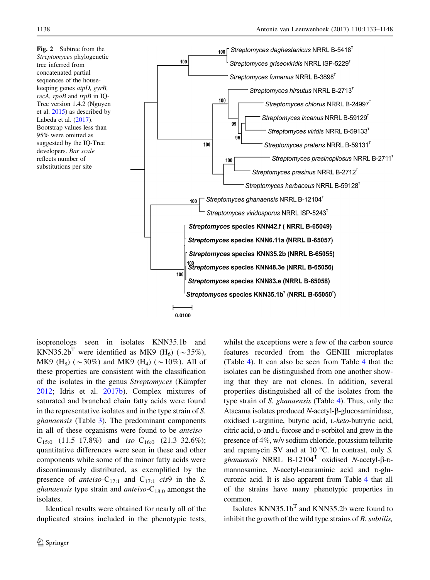<span id="page-6-0"></span>Fig. 2 Subtree from the *Streptomyces* phylogenetic tree inferred from concatenated partial sequences of the housekeeping genes *atpD, gyrB, recA, rpoB* and *trpB* in IQ-Tree version 1.4.2 (Nguyen et al. [2015\)](#page-14-0) as described by Labeda et al. [\(2017](#page-14-0)). Bootstrap values less than 95% were omitted as suggested by the IQ-Tree developers. *Bar scale* reflects number of substitutions per site



isoprenologs seen in isolates KNN35.1b and KNN35.2b<sup>T</sup> were identified as MK9 (H<sub>6</sub>) ( $\sim$ 35%), MK9 (H<sub>8</sub>) ( $\sim$ 30%) and MK9 (H<sub>4</sub>) ( $\sim$ 10%). All of these properties are consistent with the classification of the isolates in the genus *Streptomyces* (Kämpfer [2012;](#page-13-0) Idris et al. [2017b](#page-13-0)). Complex mixtures of saturated and branched chain fatty acids were found in the representative isolates and in the type strain of *S. ghanaensis* (Table [3](#page-10-0)). The predominant components in all of these organisms were found to be *anteiso*–  $C_{15:0}$  (11.5–17.8%) and *iso*– $C_{16:0}$  (21.3–32.6%); quantitative differences were seen in these and other components while some of the minor fatty acids were discontinuously distributed, as exemplified by the presence of *anteiso*-C<sub>17:1</sub> and C<sub>17:1</sub> *cis*9 in the *S*. *ghanaensis* type strain and *anteiso*-C18:0 amongst the isolates.

Identical results were obtained for nearly all of the duplicated strains included in the phenotypic tests, whilst the exceptions were a few of the carbon source features recorded from the GENIII microplates (Table [4](#page-11-0)). It can also be seen from Table [4](#page-11-0) that the isolates can be distinguished from one another showing that they are not clones. In addition, several properties distinguished all of the isolates from the type strain of *S. ghanaensis* (Table [4\)](#page-11-0). Thus, only the Atacama isolates produced *N*-acetyl-β-glucosaminidase, oxidised <sup>L</sup>-arginine, butyric acid, <sup>L</sup>-*keto*-butryric acid, citric acid, <sup>D</sup>-and <sup>L</sup>-fucose and <sup>D</sup>-sorbitol and grew in the presence of 4%, w/v sodium chloride, potassium tellurite and rapamycin SV and at 10 °C. In contrast, only *S*. *ghanaensis* NRRL B-12104<sup>T</sup> oxidised *N*-acetyl-b-Dmannosamine, *N*-acetyl-neuraminic acid and D-glucuronic acid. It is also apparent from Table [4](#page-11-0) that all of the strains have many phenotypic properties in common.

Isolates  $KNN35.1b<sup>T</sup>$  and  $KNN35.2b$  were found to inhibit the growth of the wild type strains of *B. subtilis,*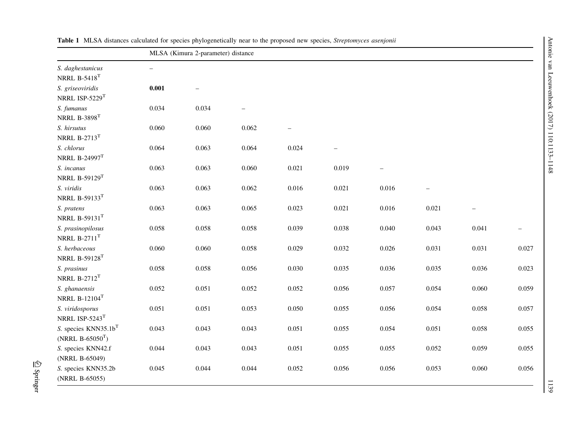|                                                           | MLSA (Kimura 2-parameter) distance |       |                   |                          |                          |                          |       |                   |       |  |
|-----------------------------------------------------------|------------------------------------|-------|-------------------|--------------------------|--------------------------|--------------------------|-------|-------------------|-------|--|
| S. daghestanicus<br>NRRL $B-5418$ <sup>T</sup>            | $\overline{\phantom{0}}$           |       |                   |                          |                          |                          |       |                   |       |  |
| S. griseoviridis<br>NRRL ISP-5229T                        | 0.001                              |       |                   |                          |                          |                          |       |                   |       |  |
| S. fumanus<br>NRRL $B-3898$ <sup>T</sup>                  | 0.034                              | 0.034 | $\qquad \qquad -$ |                          |                          |                          |       |                   |       |  |
| S. hirsutus<br>NRRL $B-2713$ <sup>T</sup>                 | 0.060                              | 0.060 | 0.062             | $\overline{\phantom{0}}$ |                          |                          |       |                   |       |  |
| S. chlorus<br>NRRL B-24997 <sup>T</sup>                   | 0.064                              | 0.063 | 0.064             | 0.024                    | $\overline{\phantom{0}}$ |                          |       |                   |       |  |
| S. incanus<br>NRRL B-59129 <sup>T</sup>                   | 0.063                              | 0.063 | 0.060             | 0.021                    | 0.019                    | $\overline{\phantom{0}}$ |       |                   |       |  |
| S. viridis<br>NRRL B-59133 $T$                            | 0.063                              | 0.063 | 0.062             | 0.016                    | 0.021                    | 0.016                    |       |                   |       |  |
| S. pratens<br>NRRL B-59131 $^T$                           | 0.063                              | 0.063 | 0.065             | 0.023                    | 0.021                    | 0.016                    | 0.021 | $\qquad \qquad -$ |       |  |
| S. prasinopilosus<br>NRRL $B-2711$ <sup>T</sup>           | 0.058                              | 0.058 | 0.058             | 0.039                    | 0.038                    | 0.040                    | 0.043 | 0.041             |       |  |
| S. herbaceous<br>NRRL B-59128 <sup>T</sup>                | 0.060                              | 0.060 | 0.058             | 0.029                    | 0.032                    | 0.026                    | 0.031 | 0.031             | 0.027 |  |
| S. prasinus<br>NRRL $B-2712$ <sup>T</sup>                 | 0.058                              | 0.058 | 0.056             | 0.030                    | 0.035                    | 0.036                    | 0.035 | 0.036             | 0.023 |  |
| S. ghanaensis<br>NRRL $B-12104$ <sup>T</sup>              | 0.052                              | 0.051 | 0.052             | 0.052                    | 0.056                    | 0.057                    | 0.054 | 0.060             | 0.059 |  |
| S. viridosporus<br>NRRL ISP-5243 $T$                      | 0.051                              | 0.051 | 0.053             | 0.050                    | 0.055                    | 0.056                    | 0.054 | 0.058             | 0.057 |  |
| S. species KNN35.1b <sup>T</sup><br>(NRRL $B-65050^{T}$ ) | 0.043                              | 0.043 | 0.043             | 0.051                    | 0.055                    | 0.054                    | 0.051 | 0.058             | 0.055 |  |
| S. species KNN42.f<br>(NRRL B-65049)                      | 0.044                              | 0.043 | 0.043             | 0.051                    | 0.055                    | 0.055                    | 0.052 | 0.059             | 0.055 |  |
| S. species KNN35.2b<br>(NRRL B-65055)                     | 0.045                              | 0.044 | 0.044             | 0.052                    | 0.056                    | 0.056                    | 0.053 | 0.060             | 0.056 |  |

Antonie van Leeuwenhoek (2017) 110:1133–1148

Antonie van Leeuwenhoek (2017) 110:1133-1148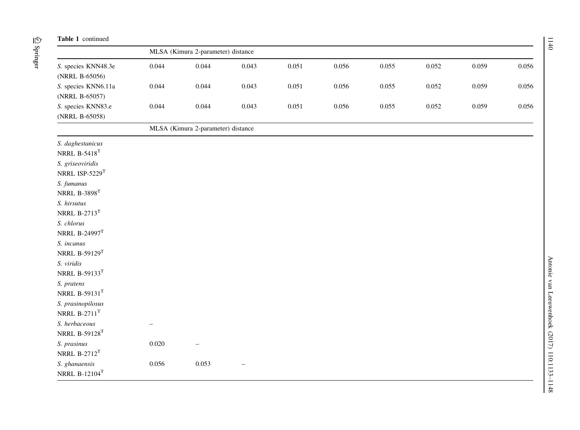#### Table 1 continued

|                                       |                                                                 | MLSA (Kimura 2-parameter) distance |       |       |       |       |       |       |       |  |  |
|---------------------------------------|-----------------------------------------------------------------|------------------------------------|-------|-------|-------|-------|-------|-------|-------|--|--|
| S. species KNN48.3e<br>(NRRL B-65056) | 0.044                                                           | 0.044                              | 0.043 | 0.051 | 0.056 | 0.055 | 0.052 | 0.059 | 0.056 |  |  |
| S. species KNN6.11a<br>(NRRL B-65057) | 0.044                                                           | 0.044                              | 0.043 | 0.051 | 0.056 | 0.055 | 0.052 | 0.059 | 0.056 |  |  |
| S. species KNN83.e<br>(NRRL B-65058)  | 0.044                                                           | 0.044                              | 0.043 | 0.051 | 0.056 | 0.055 | 0.052 | 0.059 | 0.056 |  |  |
|                                       | $\mathbf{v}$ and $\mathbf{v}$ and $\mathbf{v}$ and $\mathbf{v}$ | $\sim$                             |       |       |       |       |       |       |       |  |  |

MLSA (Kimura 2-parameter) distance

| S. daghestanicus               |
|--------------------------------|
| NRRL $B-5418$ <sup>T</sup>     |
| S. griseoviridis               |
| NRRL ISP-5229 $T$              |
| S. fumanus                     |
| <b>NRRL B-3898<sup>T</sup></b> |
| S. hirsutus                    |

NRRL B-1210 $4^{\text{T}}$ 

| S. herbaceous           |  |
|-------------------------|--|
| NRRL B-59128 $^{\rm T}$ |  |

| S. prasinus                | 0.020 | -     |
|----------------------------|-------|-------|
| NRRL $B-2712$ <sup>T</sup> |       |       |
| S. ghanaensis              | 0.056 | 0.053 |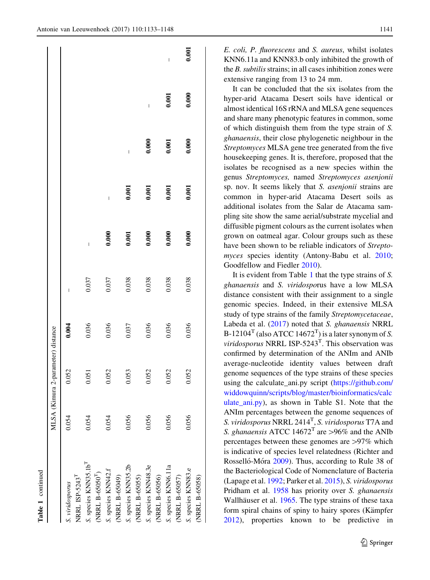$0.001$ 

*E. coli, P. fluorescens* and *S. aureus*, whilst isolates KNN6.11a and KNN83.b only inhibited the growth of the *B. subtilis*strains; in all cases inhibition zones were extensive ranging from 13 to 24 mm.

It can be concluded that the six isolates from the hyper-arid Atacama Desert soils have identical or almost identical 16S rRNA and MLSA gene sequences and share many phenotypic features in common, some of which distinguish them from the type strain of *S. ghanaensis*, their close phylogenetic neighbour in the *Streptomyces* MLSA gene tree generated from the five housekeeping genes. It is, therefore, proposed that the isolates be recognised as a new species within the genus *Streptomyces,* named *Streptomyces asenjonii* sp. nov. It seems likely that *S. asenjonii* strains are common in hyper-arid Atacama Desert soils as additional isolates from the Salar de Atacama sampling site show the same aerial/substrate mycelial and diffusible pigment colours as the current isolates when grown on oatmeal agar. Colour groups such as these have been shown to be reliable indicators of *Streptomyces* species identity (Antony-Babu et al. [2010](#page-13-0); Goodfellow and Fiedler [2010\)](#page-13-0).

It is evident from Table [1](#page-6-0) that the type strains of *S. ghanaensis* and *S. viridospo*rus have a low MLSA distance consistent with their assignment to a single genomic species. Indeed, in their extensive MLSA study of type strains of the family *Streptomycetaceae*, Labeda et al. ([2017](#page-14-0)) noted that *S. ghanaensis* NRRL  $B-12104<sup>T</sup>$  (also ATCC 14672<sup>T</sup>) is a later synonym of *S*. *viridosporus* NRRL ISP-5243<sup>T</sup> . This observation was confirmed by determination of the ANIm and ANIb average-nucleotide identity values between draft genome sequences of the type strains of these species using the calculate\_ani.py script [\(https://github.com/](https://github.com/widdowquinn/scripts/blog/master/bioinformatics/calculate_ani.py) [widdowquinn/scripts/blog/master/bioinformatics/calc](https://github.com/widdowquinn/scripts/blog/master/bioinformatics/calculate_ani.py) ulate ani.py), as shown in Table S1. Note that the ANIm percentages between the genome sequences of *S. viridosporus* NRRL 2414<sup>T</sup> , *S. viridosporus* T7A and *S. ghanaensis* ATCC  $14672^T$  are >96% and the ANIb percentages between these genomes are  $>97\%$  which is indicative of species level relatedness (Richter and Rosselló-Móra [2009\)](#page-14-0). Thus, according to Rule 38 of the Bacteriological Code of Nomenclature of Bacteria (Lapage et al. [1992](#page-14-0); Parker et al. [2015](#page-14-0)), *S. viridosporus* Pridham et al. [1958](#page-14-0) has priority over *S. ghanaensis* Wallhäuser et al. [1965](#page-15-0). The type strains of these taxa form spiral chains of spiny to hairy spores (Kämpfer [2012\)](#page-13-0), properties known to be predictive in

Table 1 continued

<span id="page-9-0"></span>

|                                                                  |       | MLSA (Kimura 2-parameter) distance |       |       |                          |                          |                          |       |       |
|------------------------------------------------------------------|-------|------------------------------------|-------|-------|--------------------------|--------------------------|--------------------------|-------|-------|
| NRRL ISP-5243 <sup>T</sup><br>S. viridosporus                    | 0.054 | 0.052                              | 0.004 | I     |                          |                          |                          |       |       |
| S. species KNN35.1b <sup>T</sup><br>(NRRL B-65050 <sup>T</sup> ) | 0.054 | 0.051                              | 0.036 | 0.037 | $\overline{\phantom{a}}$ |                          |                          |       |       |
| S. species KNN42.f<br>(NRRL B-65049)                             | 0.054 | 0.052                              | 0.036 | 0.037 | 0.000                    | $\overline{\phantom{a}}$ |                          |       |       |
| S. species KNN35.2b<br>(NRRL B-65055)                            | 0.056 | 0.053                              | 0.037 | 0.038 | 0.001                    | 0.001                    | $\overline{\phantom{a}}$ |       |       |
| S. species KNN48.3e<br>(NRRL B-65056)                            | 0.056 | 0.052                              | 0.036 | 0.038 | 0.000                    | 0.001                    | 0.000                    | I     |       |
| S. species KNN6.11a<br>(NRRL B-65057)                            | 0.056 | 0.052                              | 0.036 | 0.038 | 0.000                    | 0.001                    | 0.001                    | 0.001 | I     |
| S. species KNN83.e<br>(NRRL B-65058)                             | 0.056 | 0.052                              | 0.036 | 0.038 | 0.000                    | 0.001                    | 0.000                    | 0.000 | 0.001 |
|                                                                  |       |                                    |       |       |                          |                          |                          |       |       |

 $\textcircled{2}$  Springer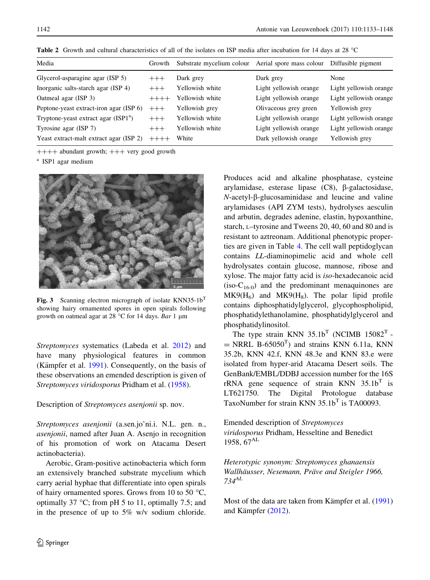| Media                                            | Growth  | Substrate mycelium colour Aerial spore mass colour |                        | Diffusible pigment     |
|--------------------------------------------------|---------|----------------------------------------------------|------------------------|------------------------|
| Glycerol-asparagine agar (ISP 5)                 | $+++$   | Dark grey                                          | Dark grey              | None                   |
| Inorganic salts-starch agar (ISP 4)              | $+++$   | Yellowish white                                    | Light yellowish orange | Light yellowish orange |
| Oatmeal agar (ISP 3)                             | $++++-$ | Yellowish white                                    | Light yellowish orange | Light yellowish orange |
| Peptone-yeast extract-iron agar (ISP 6)          | $+++$   | Yellowish grey                                     | Olivaceous grey green  | Yellowish grey         |
| Tryptone-yeast extract agar (ISP1 <sup>a</sup> ) | $+++$   | Yellowish white                                    | Light yellowish orange | Light yellowish orange |
| Tyrosine agar (ISP 7)                            | $+++$   | Yellowish white                                    | Light yellowish orange | Light yellowish orange |
| Yeast extract-malt extract agar (ISP 2)          | $+++++$ | White                                              | Dark yellowish orange  | Yellowish grey         |

<span id="page-10-0"></span>Table 2 Growth and cultural characteristics of all of the isolates on ISP media after incubation for 14 days at 28 °C

 $++++$  abundant growth;  $++$  very good growth

a ISP1 agar medium



Fig. 3 Scanning electron micrograph of isolate KNN35-1b<sup>T</sup> showing hairy ornamented spores in open spirals following growth on oatmeal agar at 28 °C for 14 days. *Bar* 1 µm

*Streptomyces* systematics (Labeda et al. [2012\)](#page-14-0) and have many physiological features in common (Kämpfer et al.  $1991$ ). Consequently, on the basis of these observations an emended description is given of *Streptomyces viridosporus* Pridham et al. [\(1958](#page-14-0)).

#### Description of *Streptomyces asenjonii* sp. nov.

*Streptomyces asenjonii* (a.sen.jo'ni.i. N.L. gen. n., *asenjonii*, named after Juan A. Asenjo in recognition of his promotion of work on Atacama Desert actinobacteria).

Aerobic, Gram-positive actinobacteria which form an extensively branched substrate mycelium which carry aerial hyphae that differentiate into open spirals of hairy ornamented spores. Grows from 10 to 50  $^{\circ}$ C, optimally 37  $\degree$ C; from pH 5 to 11, optimally 7.5; and in the presence of up to 5% w/v sodium chloride.

Produces acid and alkaline phosphatase, cysteine arylamidase, esterase lipase  $(C8)$ ,  $\beta$ -galactosidase,  $N$ -acetyl- $\beta$ -glucosaminidase and leucine and valine arylamidases (API ZYM tests), hydrolyses aesculin and arbutin, degrades adenine, elastin, hypoxanthine, starch, <sup>L</sup>–tyrosine and Tweens 20, 40, 60 and 80 and is resistant to aztreonam. Additional phenotypic properties are given in Table [4.](#page-11-0) The cell wall peptidoglycan contains *LL*-diaminopimelic acid and whole cell hydrolysates contain glucose, mannose, ribose and xylose. The major fatty acid is *iso*-hexadecanoic acid  $(iso-C<sub>16:0</sub>)$  and the predominant menaquinones are  $MK9(H<sub>6</sub>)$  and  $MK9(H<sub>8</sub>)$ . The polar lipid profile contains diphosphatidylglycerol, glycophospholipid, phosphatidylethanolamine, phosphatidylglycerol and phosphatidylinositol.

The type strain KNN  $35.1b^T$  (NCIMB  $15082^T$  - $=$  NRRL B-65050<sup>T</sup>) and strains KNN 6.11a, KNN 35.2b, KNN 42.f, KNN 48.3e and KNN 83.e were isolated from hyper-arid Atacama Desert soils. The GenBank/EMBL/DDBJ accession number for the 16S  $rRNA$  gene sequence of strain KNN  $35.1b^T$  is LT621750. The Digital Protologue database TaxoNumber for strain KNN  $35.1b<sup>T</sup>$  is TA00093.

Emended description of *Streptomyces viridosporus* Pridham, Hesseltine and Benedict 1958, 67<sup>AL</sup>

*Heterotypic synonym: Streptomyces ghanaensis Wallha¨usser, Nesemann, Pra¨ve and Steigler 1966, 734AL*

Most of the data are taken from Kämpfer et al. ([1991\)](#page-13-0) and Kämpfer ([2012\)](#page-13-0).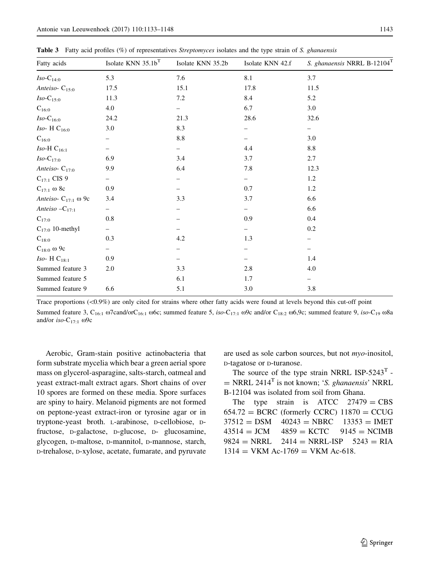| Fatty acids              | Isolate KNN 35.1b <sup>T</sup> | Isolate KNN 35.2b | Isolate KNN 42.f | S. ghanaensis NRRL B-12104T |
|--------------------------|--------------------------------|-------------------|------------------|-----------------------------|
| $Iso-C_{14:0}$           | 5.3                            | 7.6               | 8.1              | 3.7                         |
| Anteiso- $C_{15:0}$      | 17.5                           | 15.1              | 17.8             | 11.5                        |
| $Iso-C_{15:0}$           | 11.3                           | 7.2               | 8.4              | 5.2                         |
| $C_{16:0}$               | 4.0                            |                   | 6.7              | 3.0                         |
| $Iso-C_{16:0}$           | 24.2                           | 21.3              | 28.6             | 32.6                        |
| Iso-H $C_{16:0}$         | 3.0                            | 8.3               |                  | -                           |
| $C_{16:0}$               |                                | 8.8               |                  | 3.0                         |
| Iso-H $C_{16:1}$         |                                |                   | 4.4              | $8.8\,$                     |
| $Iso-C17:0$              | 6.9                            | 3.4               | 3.7              | 2.7                         |
| Anteiso- $C_{17:0}$      | 9.9                            | 6.4               | 7.8              | 12.3                        |
| $C_{17:1}$ CIS 9         | -                              |                   | -                | 1.2                         |
| $C_{17:1}$ ω 8c          | 0.9                            |                   | 0.7              | 1.2                         |
| Anteiso- $C_{17:1}$ ω 9c | 3.4                            | 3.3               | 3.7              | 6.6                         |
| Anteiso $-C_{17:1}$      | -                              |                   |                  | 6.6                         |
| $C_{17:0}$               | 0.8                            |                   | 0.9              | 0.4                         |
| $C_{17:0}$ 10-methyl     | $\overline{\phantom{0}}$       |                   | -                | 0.2                         |
| $C_{18:0}$               | 0.3                            | 4.2               | 1.3              |                             |
| $C_{18:0}$ @ 9c          | -                              |                   |                  |                             |
| Iso-H $C_{18:1}$         | 0.9                            |                   |                  | 1.4                         |
| Summed feature 3         | 2.0                            | 3.3               | 2.8              | 4.0                         |
| Summed feature 5         |                                | 6.1               | 1.7              | -                           |
| Summed feature 9         | 6.6                            | 5.1               | 3.0              | 3.8                         |

<span id="page-11-0"></span>Table 3 Fatty acid profiles (%) of representatives *Streptomyces* isolates and the type strain of *S. ghanaensis*

Trace proportions  $(\langle 0.9\% \rangle)$  are only cited for strains where other fatty acids were found at levels beyond this cut-off point

Summed feature 3, C<sub>16:1</sub>  $\omega$ 7cand/orC<sub>16:1</sub>  $\omega$ 6c; summed feature 5, *iso*-C<sub>17:1</sub>  $\omega$ 9c and/or C<sub>18:2</sub>  $\omega$ 6,9c; summed feature 9, *iso*-C<sub>19</sub>  $\omega$ 8a and/or  $iso-C_{17:1}$   $\omega$ 9c

Aerobic, Gram-stain positive actinobacteria that form substrate mycelia which bear a green aerial spore mass on glycerol-asparagine, salts-starch, oatmeal and yeast extract-malt extract agars. Short chains of over 10 spores are formed on these media. Spore surfaces are spiny to hairy. Melanoid pigments are not formed on peptone-yeast extract-iron or tyrosine agar or in tryptone-yeast broth. <sup>L</sup>-arabinose, <sup>D</sup>-cellobiose, <sup>D</sup>fructose, <sup>D</sup>-galactose, <sup>D</sup>-glucose, <sup>D</sup>- glucosamine, glycogen, <sup>D</sup>-maltose, <sup>D</sup>-mannitol, <sup>D</sup>-mannose, starch, <sup>D</sup>-trehalose, <sup>D</sup>-xylose, acetate, fumarate, and pyruvate are used as sole carbon sources, but not *myo*-inositol, <sup>D</sup>-tagatose or <sup>D</sup>-turanose.

The source of the type strain NRRL ISP-5243<sup>T</sup> -= NRRL 2414<sup>T</sup> is not known; '*S. ghanaensis*' NRRL B-12104 was isolated from soil from Ghana.

The type strain is  $ATCC$  27479 = CBS  $654.72 = BCRC$  (formerly CCRC)  $11870 = CCUG$  $37512 =$  DSM  $40243 =$  NBRC  $13353 =$  IMET  $43514 = JCM$   $4859 = KCTC$   $9145 = NCIMB$  $9824 = NRRL$   $2414 = NRRL$ -ISP  $5243 = RIA$  $1314 =$  VKM Ac-1769 = VKM Ac-618.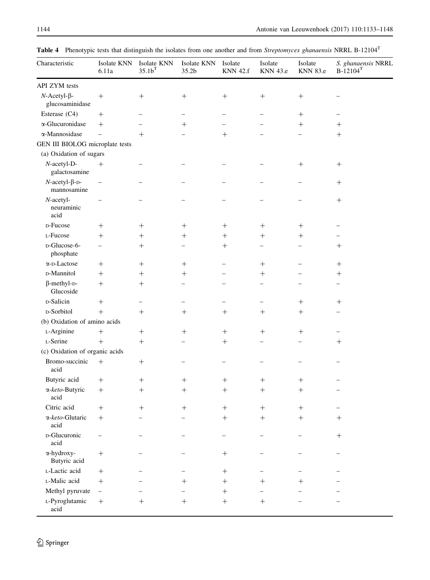| Characteristic                            | Isolate KNN<br>6.11a     | Isolate KNN<br>35.1 <sup>T</sup> | Isolate KNN<br>35.2b             | Isolate<br><b>KNN 42.f</b> | Isolate<br>KNN 43.e | Isolate<br><b>KNN 83.e</b> | S. ghanaensis NRRL<br>$B-12104$ <sup>T</sup> |
|-------------------------------------------|--------------------------|----------------------------------|----------------------------------|----------------------------|---------------------|----------------------------|----------------------------------------------|
| API ZYM tests                             |                          |                                  |                                  |                            |                     |                            |                                              |
| $N$ -Acetyl- $\beta$ -<br>glucosaminidase | $\! + \!$                | $^{+}$                           | $^{+}$                           | $^{+}$                     | $+$                 | $^{+}$                     |                                              |
| Esterase (C4)                             | $+$                      |                                  |                                  |                            |                     | $^{+}$                     |                                              |
| $\alpha$ -Glucuronidase                   | $^{+}$                   |                                  | $^{+}$                           |                            |                     | $^{+}$                     | $^{+}$                                       |
| α-Mannosidase                             | $\equiv$                 | $^{+}$                           |                                  | $^{+}$                     |                     |                            | $^{+}$                                       |
| GEN III BIOLOG microplate tests           |                          |                                  |                                  |                            |                     |                            |                                              |
| (a) Oxidation of sugars                   |                          |                                  |                                  |                            |                     |                            |                                              |
| $N$ -acetyl-D-<br>galactosamine           | $^{+}$                   |                                  |                                  |                            |                     | $\hspace{0.1mm} +$         | $\boldsymbol{+}$                             |
| $N$ -acetyl- $\beta$ -D-<br>mannosamine   | $\overline{\phantom{0}}$ |                                  |                                  |                            |                     |                            | $\boldsymbol{+}$                             |
| $N$ -acetyl-<br>neuraminic<br>acid        |                          |                                  |                                  |                            |                     |                            | $^{+}$                                       |
| D-Fucose                                  |                          | $^+$                             | $^+$                             | $^+$                       | $^+$                | $^+$                       |                                              |
| L-Fucose                                  | $^{+}$                   | $\hspace{0.1mm} +$               | $\hspace{.01in} +$               | $^{+}$                     | $\hspace{0.1mm} +$  | $\hspace{0.1mm} +$         |                                              |
| D-Glucose-6-<br>phosphate                 |                          | $^{+}$                           |                                  | $^{+}$                     |                     |                            | $\hspace{0.1mm} +$                           |
| $\alpha$ -D-Lactose                       | $^+$                     |                                  | $^{+}$                           | -                          | $+$                 |                            | $+$                                          |
| D-Mannitol                                | $^{+}$                   | $\hspace{0.1mm} +$               | $\hspace{0.1mm} +\hspace{0.1mm}$ |                            | $^{+}$              |                            | $\hspace{0.1mm} +$                           |
| $\beta$ -methyl-D-<br>Glucoside           | $+$                      | $^{+}$                           |                                  |                            |                     |                            |                                              |
| D-Salicin                                 | $^{+}$                   |                                  |                                  |                            |                     | $^{+}$                     | $+$                                          |
| D-Sorbitol                                | $+$                      | $^{+}$                           | $^{+}$                           | $^{+}$                     | $^{+}$              | $^{+}$                     |                                              |
| (b) Oxidation of amino acids              |                          |                                  |                                  |                            |                     |                            |                                              |
| L-Arginine                                | $+$                      | $+$                              | $^{+}$                           | $^{+}$                     | $+$                 | $^{+}$                     |                                              |
| L-Serine                                  | $^{+}$                   | $^{+}$                           |                                  | $^{+}$                     |                     |                            | $+$                                          |
| (c) Oxidation of organic acids            |                          |                                  |                                  |                            |                     |                            |                                              |
| Bromo-succinic<br>acid                    | $^{+}$                   | $^{+}$                           |                                  |                            |                     |                            |                                              |
| Butyric acid                              | $+$                      | $\hspace{0.1mm} +\hspace{0.1mm}$ | $\hspace{0.1mm} +\hspace{0.1mm}$ | $^+$                       | $\hspace{0.1mm} +$  | $\hspace{0.1mm} +$         |                                              |
| $\alpha$ -keto-Butyric<br>acid            | $+$                      | $^{+}$                           | $^{+}$                           | $^{+}$                     | $^{+}$              | $^{+}$                     |                                              |
| Citric acid                               | $\, +$                   | $^{+}$                           |                                  | $^{+}$                     | $^{+}$              |                            |                                              |
| $\alpha$ -keto-Glutaric<br>acid           | $+$                      |                                  |                                  | $^{+}$                     | $+$                 | $^{+}$                     | $+$                                          |
| D-Glucuronic<br>acid                      |                          |                                  |                                  |                            |                     |                            |                                              |
| α-hydroxy-<br>Butyric acid                | $\boldsymbol{+}$         |                                  |                                  | $\boldsymbol{+}$           |                     |                            | -                                            |
| L-Lactic acid                             | $^{+}$                   |                                  |                                  |                            |                     |                            |                                              |
| L-Malic acid                              | $^{+}$                   |                                  | $^+$                             | $^{+}$                     | $\hspace{0.1mm} +$  | $\hspace{0.1mm} +$         |                                              |
| Methyl pyruvate                           | $\overline{\phantom{a}}$ |                                  |                                  | $+$                        |                     |                            |                                              |
| L-Pyroglutamic<br>acid                    | $+$                      | $^{+}$                           | $+$                              | $\boldsymbol{+}$           | $+$                 |                            |                                              |

Table 4 Phenotypic tests that distinguish the isolates from one another and from *Streptomyces ghanaensis* NRRL B-12104<sup>T</sup>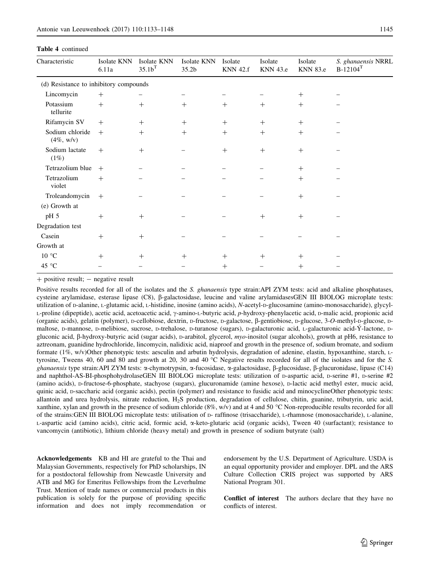<span id="page-13-0"></span>

| Characteristic                         | Isolate KNN<br>6.11a | Isolate KNN<br>35.1 <sup>T</sup> | Isolate KNN<br>35.2 <sub>b</sub> | Isolate<br><b>KNN 42.f</b> | Isolate<br><b>KNN</b> 43.e | Isolate<br><b>KNN 83.e</b> | S. ghanaensis NRRL<br>$B-12104$ <sup>T</sup> |
|----------------------------------------|----------------------|----------------------------------|----------------------------------|----------------------------|----------------------------|----------------------------|----------------------------------------------|
| (d) Resistance to inhibitory compounds |                      |                                  |                                  |                            |                            |                            |                                              |
| Lincomycin                             | $+$                  |                                  |                                  |                            |                            | $^{+}$                     |                                              |
| Potassium<br>tellurite                 | $+$                  | $^{+}$                           | $+$                              | $+$                        | $+$                        | $+$                        |                                              |
| Rifamycin SV                           | $+$                  | $^{+}$                           | $^{+}$                           | $^{+}$                     | $+$                        | $^{+}$                     |                                              |
| Sodium chloride<br>$(4\%, w/v)$        | $^{+}$               | $^{+}$                           | $^{+}$                           | $^{+}$                     | $^{+}$                     | $^{+}$                     |                                              |
| Sodium lactate<br>$(1\%)$              | $+$                  | $^{+}$                           |                                  | $+$                        | $^{+}$                     | $^{+}$                     |                                              |
| Tetrazolium blue                       | $+$                  |                                  |                                  |                            |                            | $+$                        |                                              |
| Tetrazolium<br>violet                  | $+$                  |                                  |                                  |                            |                            | $^{+}$                     |                                              |
| Troleandomycin                         | $+$                  |                                  |                                  |                            |                            | $^{+}$                     |                                              |
| (e) Growth at                          |                      |                                  |                                  |                            |                            |                            |                                              |
| pH 5                                   | $+$                  | $^{+}$                           |                                  |                            | $^{+}$                     | $^{+}$                     |                                              |
| Degradation test                       |                      |                                  |                                  |                            |                            |                            |                                              |
| Casein                                 | $+$                  | $^{+}$                           |                                  |                            |                            |                            |                                              |
| Growth at                              |                      |                                  |                                  |                            |                            |                            |                                              |
| 10 °C                                  | $^{+}$               | $^{+}$                           | $^{+}$                           | $^{+}$                     | $^{+}$                     | $^{+}$                     |                                              |
| 45 $\degree$ C                         |                      |                                  |                                  | $^{+}$                     |                            | $^{+}$                     |                                              |

 $+$  positive result;  $-$  negative result

Positive results recorded for all of the isolates and the *S. ghanaensis* type strain:API ZYM tests: acid and alkaline phosphatases, cysteine arylamidase, esterase lipase (C8), β-galactosidase, leucine and valine arylamidasesGEN III BIOLOG microplate tests: utilization of <sup>D</sup>-alanine, <sup>L</sup>-glutamic acid, <sup>L</sup>-histidine, inosine (amino acids), *N*-acetyl-D-glucosamine (amino-monosaccharide), glycyl-L-proline (dipeptide), acetic acid, acetoacetic acid,  $\gamma$ -amino-L-butyric acid, *p*-hydroxy-phenylacetic acid, *p*-malic acid, propionic acid (organic acids), gelatin (polymer), <sup>D</sup>-cellobiose, dextrin, <sup>D</sup>-fructose, <sup>D</sup>-galactose, b-gentiobiose, <sup>D</sup>-glucose, 3-*O*-methyl-D-glucose, <sup>D</sup>maltose, D-mannose, D-melibiose, sucrose, D-trehalose, D-turanose (sugars), D-galacturonic acid, L-galacturonic acid-Y-lactone, Dgluconic acid, b-hydroxy-butyric acid (sugar acids), <sup>D</sup>-arabitol, glycerol, *myo*-inositol (sugar alcohols), growth at pH6, resistance to aztreonam, guanidine hydrochloride, lincomycin, nalidixic acid, niaproof and growth in the presence of, sodium bromate, and sodium formate (1%, w/v)Other phenotypic tests: aesculin and arbutin hydrolysis, degradation of adenine, elastin, hypoxanthine, starch, <sup>L</sup>tyrosine, Tweens 40, 60 and 80 and growth at 20, 30 and 40 C Negative results recorded for all of the isolates and for the *S. ghanaensis* type strain:API ZYM tests: a-chymotrypsin, a-fucosidase, a-galactosidase, b-glucosidase, b-glucuronidase, lipase (C14) and naphthol-AS-BI-phosphohydrolaseGEN III BIOLOG microplate tests: utilization of D-aspartic acid, D-serine #1, D-serine #2 (amino acids), <sup>D</sup>-fructose-6-phosphate, stachyose (sugars), glucuronamide (amine hexose), <sup>D</sup>-lactic acid methyl ester, mucic acid, quinic acid, <sup>D</sup>-saccharic acid (organic acids), pectin (polymer) and resistance to fusidic acid and minocyclineOther phenotypic tests: allantoin and urea hydrolysis, nitrate reduction, H2S production, degradation of cellulose, chitin, guanine, tributyrin, uric acid, xanthine, xylan and growth in the presence of sodium chloride  $(8\%, w/v)$  and at 4 and 50 °C Non-reproducible results recorded for all of the strains:GEN III BIOLOG microplate tests: utilisation of <sup>D</sup>- raffinose (trisaccharide), <sup>L</sup>-rhamnose (monosaccharide), <sup>L</sup>-alanine, <sup>L</sup>-aspartic acid (amino acids), citric acid, formic acid, a-keto-glutaric acid (organic acids), Tween 40 (surfactant); resistance to vancomycin (antibiotic), lithium chloride (heavy metal) and growth in presence of sodium butyrate (salt)

Acknowledgements KB and HI are grateful to the Thai and Malaysian Governments, respectively for PhD scholarships, IN for a postdoctoral fellowship from Newcastle University and ATB and MG for Emeritus Fellowships from the Leverhulme Trust. Mention of trade names or commercial products in this publication is solely for the purpose of providing specific information and does not imply recommendation or endorsement by the U.S. Department of Agriculture. USDA is an equal opportunity provider and employer. DPL and the ARS Culture Collection CRIS project was supported by ARS National Program 301.

Conflict of interest The authors declare that they have no conflicts of interest.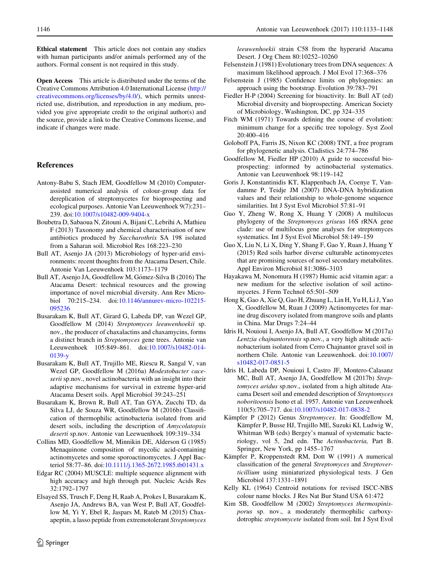<span id="page-14-0"></span>Ethical statement This article does not contain any studies with human participants and/or animals performed any of the authors. Formal consent is not required in this study.

Open Access This article is distributed under the terms of the Creative Commons Attribution 4.0 International License ([http://](http://creativecommons.org/licenses/by/4.0/) [creativecommons.org/licenses/by/4.0/\)](http://creativecommons.org/licenses/by/4.0/), which permits unrestricted use, distribution, and reproduction in any medium, provided you give appropriate credit to the original author(s) and the source, provide a link to the Creative Commons license, and indicate if changes were made.

#### References

- Antony-Babu S, Stach JEM, Goodfellow M (2010) Computerassisted numerical analysis of colour-group data for dereplication of streptomycetes for bioprospecting and ecological purposes. Antonie Van Leeuwenhoek 9(7):231– 239. doi[:10.1007/s10482-009-9404-x](http://dx.doi.org/10.1007/s10482-009-9404-x)
- Boubetra D, Sabaoua N, Zitouni A, Bijani C, Lebrihi A, Mathieu F (2013) Taxonomy and chemical characterisation of new antibiotics produced by *Saccharothrix* SA 198 isolated from a Saharan soil. Microbiol Res 168:223–230
- Bull AT, Asenjo JA (2013) Microbiology of hyper-arid environments: recent thoughts from the Atacama Desert, Chile. Antonie Van Leeuwenhoek 103:1173–1179
- Bull AT, Asenjo JA, Goodfellow M, Gómez-Silva B (2016) The Atacama Desert: technical resources and the growing importance of novel microbial diversity. Ann Rev Microbiol 70:215–234. doi[:10.1146/annurev-micro-102215-](http://dx.doi.org/10.1146/annurev-micro-102215-095236) [095236](http://dx.doi.org/10.1146/annurev-micro-102215-095236)
- Busarakam K, Bull AT, Girard G, Labeda DP, van Wezel GP, Goodfellow M (2014) *Streptomyces leeuwenhoekii* sp. nov., the producer of chaxalactins and chaxamycins, forms a distinct branch in *Streptomyces* gene trees. Antonie van Leeuwenhoek 105:849–861. doi:[10.1007/s10482-014-](http://dx.doi.org/10.1007/s10482-014-0139-y) [0139-y](http://dx.doi.org/10.1007/s10482-014-0139-y)
- Busarakam K, Bull AT, Trujillo ME, Riescu R, Sangal V, van Wezel GP, Goodfellow M (2016a) *Modestobacter caceserii* sp.nov., novel actinobacteria with an insight into their adaptive mechanisms for survival in extreme hyper-arid Atacama Desert soils. Appl Microbiol 39:243–251
- Busarakam K, Brown R, Bull AT, Tan GYA, Zucchi TD, da Silva LJ, de Souza WR, Goodfellow M (2016b) Classification of thermophilic actinobacteria isolated from arid desert soils, including the description of *Amycolatopsis deserti* sp.nov. Antonie van Leewuenhoek 109:319–334
- Collins MD, Goodfellow M, Minnikin DE, Alderson G (1985) Menaquinone composition of mycolic acid-containing actinomycetes and some sporoactinomycetes. J Appl Bacteriol 58:77–86. doi[:10.1111/j.1365-2672.1985.tb01431.x](http://dx.doi.org/10.1111/j.1365-2672.1985.tb01431.x)
- Edgar RC (2004) MUSCLE: multiple sequence alignment with high accuracy and high through put. Nucleic Acids Res 32:1792–1797
- Elsayed SS, Trusch F, Deng H, Raab A, Prokes I, Busarakam K, Asenjo JA, Andrews BA, van West P, Bull AT, Goodfellow M, Yi Y, Ebel R, Jaspars M, Rateb M (2015) Chaxapeptin, a lasso peptide from extremotolerant *Streptomyces*

*leeuwenhoekii* strain C58 from the hyperarid Atacama Desert. J Org Chem 80:10252–10260

- Felsenstein J (1981) Evolutionary trees from DNA sequences: A maximum likelihood approach. J Mol Evol 17:368–376
- Felsenstein J (1985) Confidence limits on phylogenies: an approach using the bootstrap. Evolution 39:783–791
- Fiedler H-P (2004) Screening for bioactivity. In: Bull AT (ed) Microbial diversity and bioprospecting. American Society of Microbiology, Washington, DC, pp 324–335
- Fitch WM (1971) Towards defining the course of evolution: minimum change for a specific tree topology. Syst Zool 20:400–416
- Goloboff PA, Farris JS, Nixon KC (2008) TNT, a free program for phylogenetic analysis. Cladistics 24:774–786
- Goodfellow M, Fiedler HP (2010) A guide to successful bioprospecting: informed by actinobacterial systematics. Antonie van Leeuwenhoek 98:119–142
- Goris J, Konstantinidis KT, Klappenbach JA, Coenye T, Vandamme P, Teidje JM (2007) DNA-DNA hybridization values and their relationship to whole-genome sequence similarities. Int J Syst Evol Microbiol 57:81–91
- Guo Y, Zheng W, Rong X, Huang Y (2008) A multilocus phylogeny of the *Streptomyces griseus* 16S rRNA gene clade: use of multilocus gene analyses for streptomyces systematics. Int J Syst Evol Microbiol 58:149–159
- Guo X, Liu N, Li X, Ding Y, Shang F, Gao Y, Ruan J, Huang Y (2015) Red soils harbor diverse culturable actinomycetes that are promising sources of novel secondary metabolites. Appl Environ Microbiol 81:3086–3103
- Hayakawa M, Nonomura H (1987) Humic acid vitamin agar: a new medium for the selective isolation of soil actinomycetes. J Ferm Technol 65:501–509
- Hong K, Gao A, Xie Q, Gao H, Zhuang L, Lin H, Yu H, Li J, Yao X, Goodfellow M, Ruan J (2009) Actinomycetes for marine drug discovery isolated from mangrove soils and plants in China. Mar Drugs 7:24–44
- Idris H, Nouioui I, Asenjo JA, Bull AT, Goodfellow M (2017a) *Lentzia chajnantorensis* sp.nov., a very high altitude actinobacterium isolated from Cerro Chajnantor gravel soil in northern Chile. Antonie van Leeuwenhoek. doi[:10.1007/](http://dx.doi.org/10.1007/s10482-017-0851-5) [s10482-017-0851-5](http://dx.doi.org/10.1007/s10482-017-0851-5)
- Idris H, Labeda DP, Nouioui I, Castro JF, Montero-Calasanz MC, Bull AT, Asenjo JA, Goodfellow M (2017b) *Streptomyces aridus* sp.nov., isolated from a high altitude Atacama Desert soil and emended description of *Streptomyces noboritoensis* Isono et al. 1957. Antonie van Leeuwenhoek 110(5):705–717. doi[:10.1007/s10482-017-0838-2](http://dx.doi.org/10.1007/s10482-017-0838-2)
- Kämpfer P (2012) Genus Streptomyces. In: Goodfellow M, Kämpfer P, Busse HJ, Trujillo ME, Suzuki KI, Ludwig W, Whitman WB (eds) Bergey's manual of systematic bacteriology, vol 5, 2nd edn. The *Actinobacteria,* Part B. Springer, New York, pp 1455–1767
- Kämpfer P, Kroppenstedt RM, Dott W (1991) A numerical classification of the general *Streptomyces* and *Streptoverticillium* using miniaturized physiological tests. J Gen Microbiol 137:1331–1891
- Kelly KL (1964) Centroid notations for revised ISCC-NBS colour name blocks. J Res Nat Bur Stand USA 61:472
- Kim SB, Goodfellow M (2002) *Streptomyces thermospinisporus* sp. nov., a moderately thermophilic carboxydotrophic *streptomycete* isolated from soil. Int J Syst Evol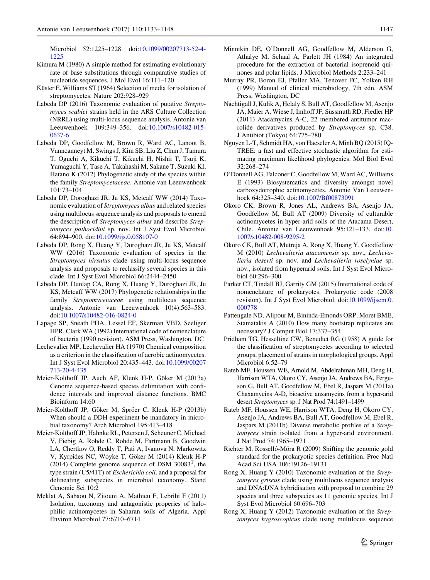<span id="page-15-0"></span>Microbiol 52:1225–1228. doi[:10.1099/00207713-52-4-](http://dx.doi.org/10.1099/00207713-52-4-1225) [1225](http://dx.doi.org/10.1099/00207713-52-4-1225)

- Kimura M (1980) A simple method for estimating evolutionary rate of base substitutions through comparative studies of nucleotide sequences. J Mol Evol 16:111–120
- Küster E, Williams ST (1964) Selection of media for isolation of streptomycetes. Nature 202:928–929
- Labeda DP (2016) Taxonomic evaluation of putative *Streptomyces scabiei* strains held in the ARS Culture Collection (NRRL) using multi-locus sequence analysis. Antonie van Leeuwenhoek 109:349–356. doi:[10.1007/s10482-015-](http://dx.doi.org/10.1007/s10482-015-0637-6) [0637-6](http://dx.doi.org/10.1007/s10482-015-0637-6)
- Labeda DP, Goodfellow M, Brown R, Ward AC, Lanoot B, Vanncanneyt M, Swings J, Kim SB, Liu Z, Chun J, Tamura T, Oguchi A, Kikuchi T, Kikuchi H, Nishii T, Tsuji K, Yamaguchi Y, Tase A, Takahashi M, Sakane T, Suzuki KI, Hatano K (2012) Phylogenetic study of the species within the family *Streptomycetaceae*. Antonie van Leeuwenhoek 101:73–104
- Labeda DP, Doroghazi JR, Ju KS, Metcalf WW (2014) Taxonomic evaluation of *Streptomyces albus* and related species using multilocus sequence analysis and proposals to emend the description of *Streptomyces albus* and describe *Streptomyces pathocidini* sp. nov. Int J Syst Evol Microbiol 64:894–900. doi:[10.1099/ijs.0.058107-0](http://dx.doi.org/10.1099/ijs.0.058107-0)
- Labeda DP, Rong X, Huang Y, Doroghazi JR, Ju KS, Metcalf WW (2016) Taxonomic evaluation of species in the *Streptomyces hirsutus* clade using multi-locus sequence analysis and proposals to reclassify several species in this clade. Int J Syst Evol Microbiol 66:2444–2450
- Labeda DP, Dunlap CA, Rong X, Huang Y, Duroghazi JR, Ju KS, Metcaff WW (2017) Phylogenetic relationships in the family *Streptomycetaceae* using multilocus sequence analysis. Antonie van Leeuwenhoek 10(4):563–583. doi[:10.1007/s10482-016-0824-0](http://dx.doi.org/10.1007/s10482-016-0824-0)
- Lapage SP, Sneath PHA, Lessel EF, Skerman VBD, Seeliger HPR, Clark WA (1992) International code of nomenclature of bacteria (1990 revision). ASM Press, Washington, DC
- Lechevalier MP, Lechevalier HA (1970) Chemical composition as a criterion in the classification of aerobic actinomycetes. Int J Syst Evol Microbiol 20:435–443. doi[:10.1099/00207](http://dx.doi.org/10.1099/00207713-20-4-435) [713-20-4-435](http://dx.doi.org/10.1099/00207713-20-4-435)
- Meier-Kolthoff JP, Auch AF, Klenk H-P, Göker M (2013a) Genome sequence-based species delimitation with confidence intervals and improved distance functions. BMC Bioinform 14:60
- Meier-Kolthoff JP, Göker M, Spröer C, Klenk H-P (2013b) When should a DDH experiment be mandatory in microbial taxonomy? Arch Microbiol 195:413–418
- Meier-Kolthoff JP, Hahnke RL, Petersen J, Scheuner C, Michael V, Fiebig A, Rohde C, Rohde M, Fartmann B, Goodwin LA, Chertkov O, Reddy T, Pati A, Ivanova N, Markowitz V, Kyrpides NC, Woyke T, Göker M (2014) Klenk H-P  $(2014)$  Complete genome sequence of DSM 30083<sup>T</sup>, the type strain (U5/41T) of *Escherichia coli*, and a proposal for delineating subspecies in microbial taxonomy. Stand Genomic Sci 10:2
- Meklat A, Sabaou N, Zitouni A, Mathieu F, Lebrihi F (2011) Isolation, taxonomy and antagonistic properies of halophilic actinomycetes in Saharan soils of Algeria. Appl Environ Microbiol 77:6710–6714
- Minnikin DE, O'Donnell AG, Goodfellow M, Alderson G, Athalye M, Schaal A, Parlett JH (1984) An integrated procedure for the extraction of bacterial isoprenoid quinones and polar lipids. J Microbiol Methods 2:233–241
- Murray PR, Boron EJ, Pfaller MA, Tenover FC, Yolken RH (1999) Manual of clinical microbiology, 7th edn. ASM Press, Washington, DC
- Nachtigall J, Kulik A, Helaly S, Bull AT, Goodfellow M, Asenjo JA, Maier A, Wiese J, Imhoff JF, Süssmuth RD, Fiedler HP (2011) Atacamycins A-C, 22 membered antitumor macrolide derivatives produced by *Streptomyces* sp. C38. J Antibiot (Tokyo) 64:775–780
- Nguyen L-T, Schmidt HA, von Haeseler A, Minh BQ (2015) IQ-TREE: a fast and effective stochastic algorithm for estimating maximum likelihood phylogenies. Mol Biol Evol 32:268–274
- O'Donnell AG, Falconer C, Goodfellow M, Ward AC, Williams E (1993) Biosystematics and diversity amongst novel carboxydotrophic actinomycetes. Antonie Van Leeuwenhoek 64:325–340. doi:[10.1007/Bf00873091](http://dx.doi.org/10.1007/Bf00873091)
- Okoro CK, Brown R, Jones AL, Andrews BA, Asenjo JA, Goodfellow M, Bull AT (2009) Diversity of culturable actinomycetes in hyper-arid soils of the Atacama Desert, Chile. Antonie van Leeuwenhoek 95:121–133. doi:[10.](http://dx.doi.org/10.1007/s10482-008-9295-2) [1007/s10482-008-9295-2](http://dx.doi.org/10.1007/s10482-008-9295-2)
- Okoro CK, Bull AT, Mutreja A, Rong X, Huang Y, Goodfellow M (2010) *Lechevalieria atacamensis* sp. nov., *Lechevalieria deserti* sp. nov. and *Lechevalieria roselyniae* sp. nov., isolated from hyperarid soils. Int J Syst Evol Microbiol 60:296–300
- Parker CT, Tindall BJ, Garrity GM (2015) International code of nomenclature of prokaryotes. Prokaryotic code (2008 revision). Int J Syst Evol Microbiol. doi:[10.1099/ijsem.0.](http://dx.doi.org/10.1099/ijsem.0.000778) [000778](http://dx.doi.org/10.1099/ijsem.0.000778)
- Pattengale ND, Alipour M, Bininda-Emonds ORP, Moret BME, Stamatakis A (2010) How many bootstrap replicates are necessary? J Comput Biol 17:337–354
- Pridham TG, Hesseltine CW, Benedict RG (1958) A guide for the classification of streptomycetes according to selected groups, placement of strains in morphological groups. Appl Microbiol 6:52–79
- Rateb MF, Houssen WE, Arnold M, Abdelrahman MH, Deng H, Harrison WTA, Okoro CY, Asenjo JA, Andrews BA, Ferguson G, Bull AT, Goodfellow M, Ebel R, Jaspars M (2011a) Chaxamycins A-D, bioactive ansamycins from a hyper-arid desert *Streptomyces* sp. J Nat Prod 74:1491–1499
- Rateb MF, Houssen WE, Harrison WTA, Deng H, Okoro CY, Asenjo JA, Andrews BA, Bull AT, Goodfellow M, Ebel R, Jaspars M (2011b) Diverse metabolic profiles of a *Streptomyces* strain isolated from a hyper-arid environment. J Nat Prod 74:1965–1971
- Richter M, Rosselló-Móra R (2009) Shifting the genomic gold standard for the prokaryotic species definition. Proc Natl Acad Sci USA 106:19126–19131
- Rong X, Huang Y (2010) Taxonomic evaluation of the *Streptomyces griseus* clade using multilocus sequence analysis and DNA:DNA hybridisation with proposal to combine 29 species and three subspecies as 11 genomic species. Int J Syst Evol Microbiol 60:696–703
- Rong X, Huang Y (2012) Taxonomic evaluation of the *Streptomyces hygroscopicus* clade using multilocus sequence